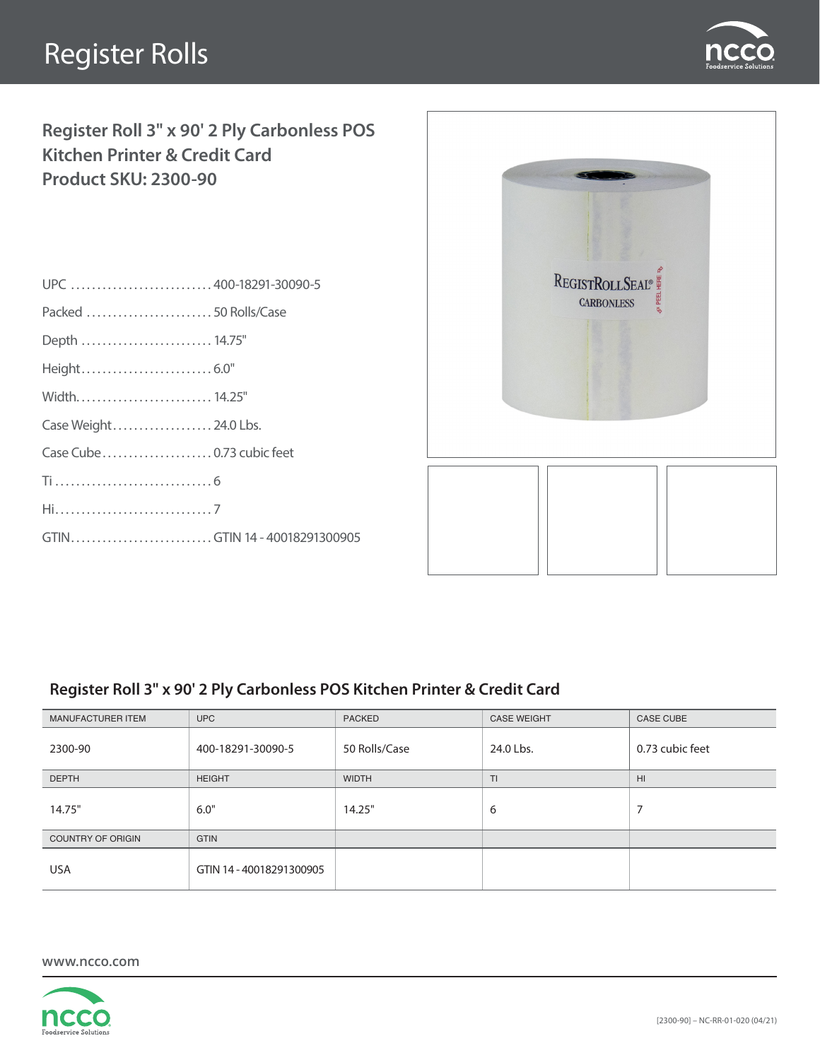## Register Rolls



**Register Roll 3" x 90' 2 Ply Carbonless POS Kitchen Printer & Credit Card Product SKU: 2300-90**

| UPC  400-18291-30090-5       |  |
|------------------------------|--|
| Packed  50 Rolls/Case        |  |
| Depth  14.75"                |  |
|                              |  |
|                              |  |
| Case Weight 24.0 Lbs.        |  |
|                              |  |
|                              |  |
|                              |  |
| GTINGTIN 14 - 40018291300905 |  |
|                              |  |



## **Register Roll 3" x 90' 2 Ply Carbonless POS Kitchen Printer & Credit Card**

| MANUFACTURER ITEM        | <b>UPC</b>               | <b>PACKED</b> | <b>CASE WEIGHT</b> | <b>CASE CUBE</b> |
|--------------------------|--------------------------|---------------|--------------------|------------------|
| 2300-90                  | 400-18291-30090-5        | 50 Rolls/Case | 24.0 Lbs.          | 0.73 cubic feet  |
| <b>DEPTH</b>             | <b>HEIGHT</b>            | <b>WIDTH</b>  | TI.                | H <sub>II</sub>  |
| 14.75"                   | 6.0"                     | 14.25"        | 6                  | ⇁                |
| <b>COUNTRY OF ORIGIN</b> | <b>GTIN</b>              |               |                    |                  |
| <b>USA</b>               | GTIN 14 - 40018291300905 |               |                    |                  |

**www.ncco.com**